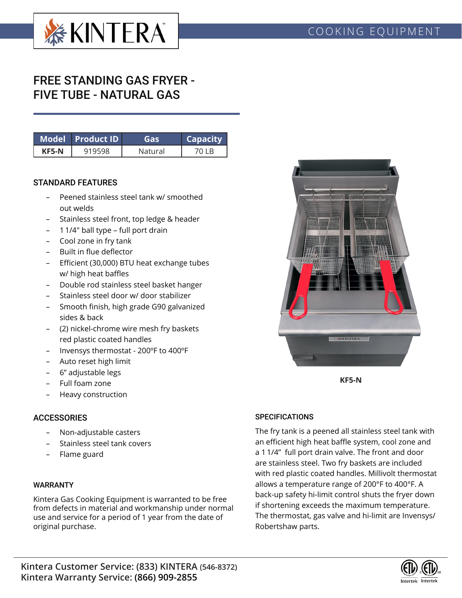

# FREE STANDING GAS FRYER - FIVE TUBE - NATURAL GAS

|       | Model Product ID | Gasi    | <b>Capacity</b> |
|-------|------------------|---------|-----------------|
| KF5-N |                  | Natural |                 |

#### STANDARD FEATURES

- Peened stainless steel tank w/ smoothed out welds
- Stainless steel front, top ledge & header
- 1 1/4" ball type full port drain
- Cool zone in fry tank
- Built in flue deflector
- Efficient (30,000) BTU heat exchange tubes w/ high heat baffles
- Double rod stainless steel basket hanger
- Stainless steel door w/ door stabilizer
- Smooth finish, high grade G90 galvanized sides & back
- (2) nickel-chrome wire mesh fry baskets red plastic coated handles
- Invensys thermostat 200ºF to 400ºF
- Auto reset high limit
- 6" adjustable legs
- Full foam zone
- Heavy construction

### **ACCESSORIES**

- Non-adjustable casters
- Stainless steel tank covers
- Flame guard

#### WARRANTY

Kintera Gas Cooking Equipment is warranted to be free from defects in material and workmanship under normal use and service for a period of 1 year from the date of original purchase.



**KF5-N**

#### **SPECIFICATIONS**

The fry tank is a peened all stainless steel tank with an efficient high heat baffle system, cool zone and a 1 1/4" full port drain valve. The front and door are stainless steel. Two fry baskets are included with red plastic coated handles. Millivolt thermostat allows a temperature range of 200°F to 400°F. A back-up safety hi-limit control shuts the fryer down if shortening exceeds the maximum temperature. The thermostat, gas valve and hi-limit are Invensys/ Robertshaw parts.